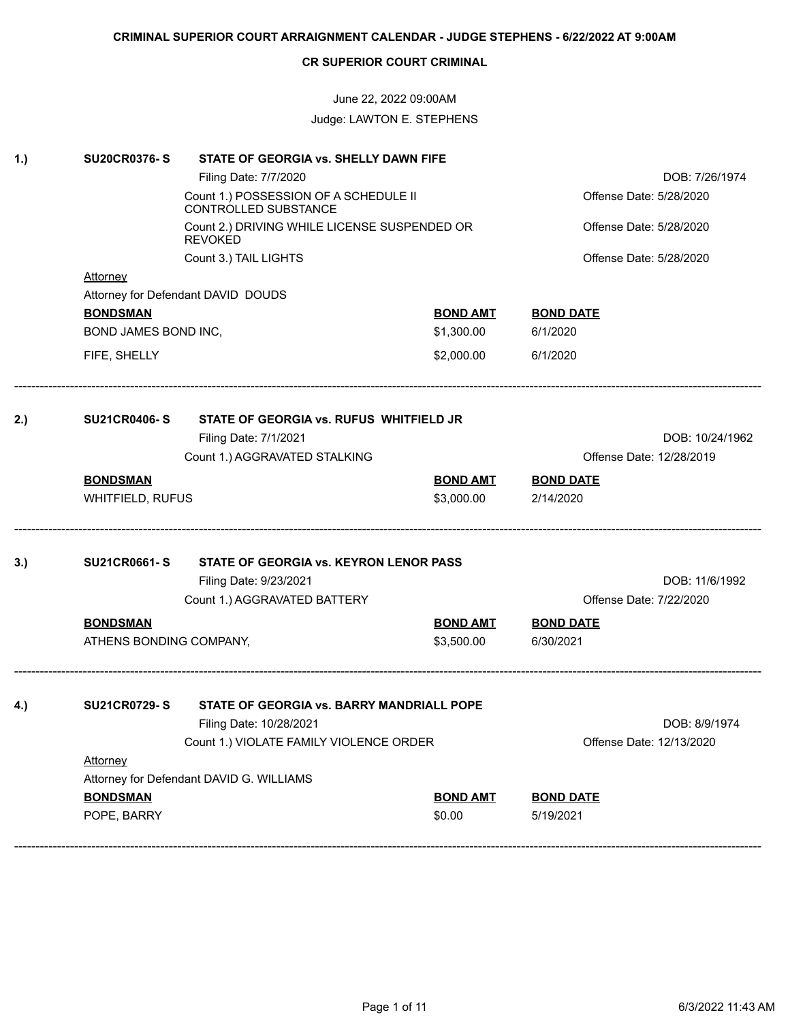# June 22, 2022 09:00AM Judge: LAWTON E. STEPHENS

| 1.) | <b>SU20CR0376-S</b><br>STATE OF GEORGIA vs. SHELLY DAWN FIFE |                                                                |                         |                          |  |  |
|-----|--------------------------------------------------------------|----------------------------------------------------------------|-------------------------|--------------------------|--|--|
|     |                                                              | Filing Date: 7/7/2020                                          |                         | DOB: 7/26/1974           |  |  |
|     |                                                              | Count 1.) POSSESSION OF A SCHEDULE II<br>CONTROLLED SUBSTANCE  | Offense Date: 5/28/2020 |                          |  |  |
|     |                                                              | Count 2.) DRIVING WHILE LICENSE SUSPENDED OR<br><b>REVOKED</b> | Offense Date: 5/28/2020 |                          |  |  |
|     |                                                              | Count 3.) TAIL LIGHTS                                          |                         | Offense Date: 5/28/2020  |  |  |
|     | Attorney                                                     |                                                                |                         |                          |  |  |
|     |                                                              | Attorney for Defendant DAVID DOUDS                             |                         |                          |  |  |
|     | <b>BONDSMAN</b>                                              |                                                                | <b>BOND AMT</b>         | <b>BOND DATE</b>         |  |  |
|     | BOND JAMES BOND INC,                                         |                                                                | \$1,300.00              | 6/1/2020                 |  |  |
|     | FIFE, SHELLY                                                 |                                                                | \$2,000.00              | 6/1/2020                 |  |  |
| 2.) | <b>SU21CR0406-S</b>                                          | STATE OF GEORGIA vs. RUFUS WHITFIELD JR                        |                         |                          |  |  |
|     |                                                              | Filing Date: 7/1/2021                                          |                         | DOB: 10/24/1962          |  |  |
|     |                                                              | Count 1.) AGGRAVATED STALKING                                  |                         | Offense Date: 12/28/2019 |  |  |
|     | <b>BONDSMAN</b>                                              |                                                                | <b>BOND AMT</b>         | <b>BOND DATE</b>         |  |  |
|     | WHITFIELD, RUFUS                                             |                                                                | \$3,000.00              | 2/14/2020                |  |  |
|     |                                                              |                                                                |                         |                          |  |  |
| 3.) | <b>SU21CR0661-S</b>                                          | STATE OF GEORGIA vs. KEYRON LENOR PASS                         |                         |                          |  |  |
|     |                                                              | Filing Date: 9/23/2021                                         |                         | DOB: 11/6/1992           |  |  |
|     |                                                              | Count 1.) AGGRAVATED BATTERY                                   |                         | Offense Date: 7/22/2020  |  |  |
|     | <b>BONDSMAN</b>                                              |                                                                | <b>BOND AMT</b>         | <b>BOND DATE</b>         |  |  |
|     | ATHENS BONDING COMPANY,                                      |                                                                | \$3,500.00              | 6/30/2021                |  |  |
| 4.) | <b>SU21CR0729-S</b>                                          | STATE OF GEORGIA vs. BARRY MANDRIALL POPE                      |                         |                          |  |  |
|     |                                                              | Filing Date: 10/28/2021                                        |                         | DOB: 8/9/1974            |  |  |
|     |                                                              | Count 1.) VIOLATE FAMILY VIOLENCE ORDER                        |                         | Offense Date: 12/13/2020 |  |  |
|     | <b>Attorney</b>                                              |                                                                |                         |                          |  |  |
|     |                                                              | Attorney for Defendant DAVID G. WILLIAMS                       |                         |                          |  |  |
|     | <b>BONDSMAN</b>                                              |                                                                | <b>BOND AMT</b>         | <b>BOND DATE</b>         |  |  |
|     | POPE, BARRY                                                  |                                                                | \$0.00                  | 5/19/2021                |  |  |
|     |                                                              |                                                                |                         |                          |  |  |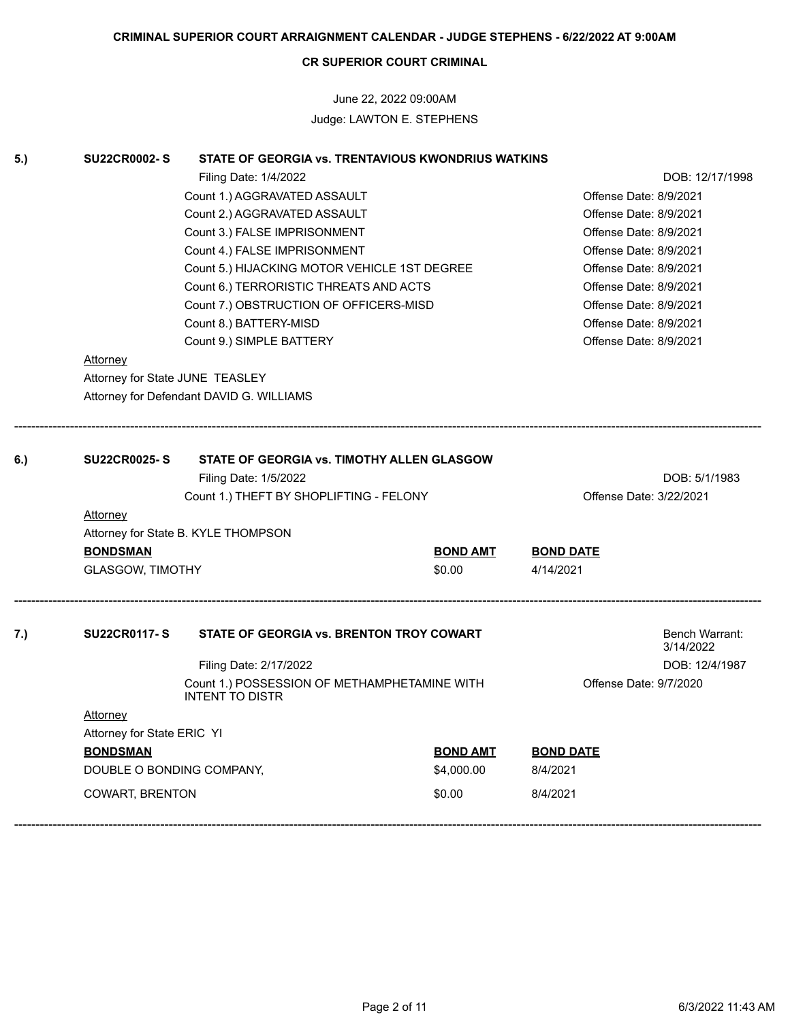# June 22, 2022 09:00AM Judge: LAWTON E. STEPHENS

| 5.) | <b>SU22CR0002-S</b>             | STATE OF GEORGIA vs. TRENTAVIOUS KWONDRIUS WATKINS                     |                        |                         |                             |
|-----|---------------------------------|------------------------------------------------------------------------|------------------------|-------------------------|-----------------------------|
|     |                                 | Filing Date: 1/4/2022                                                  |                        |                         | DOB: 12/17/1998             |
|     |                                 | Count 1.) AGGRAVATED ASSAULT                                           |                        | Offense Date: 8/9/2021  |                             |
|     |                                 | Count 2.) AGGRAVATED ASSAULT                                           | Offense Date: 8/9/2021 |                         |                             |
|     |                                 | Count 3.) FALSE IMPRISONMENT                                           | Offense Date: 8/9/2021 |                         |                             |
|     |                                 | Count 4.) FALSE IMPRISONMENT                                           |                        | Offense Date: 8/9/2021  |                             |
|     |                                 | Count 5.) HIJACKING MOTOR VEHICLE 1ST DEGREE                           |                        | Offense Date: 8/9/2021  |                             |
|     |                                 | Count 6.) TERRORISTIC THREATS AND ACTS                                 |                        | Offense Date: 8/9/2021  |                             |
|     |                                 | Count 7.) OBSTRUCTION OF OFFICERS-MISD                                 |                        | Offense Date: 8/9/2021  |                             |
|     |                                 | Count 8.) BATTERY-MISD                                                 |                        | Offense Date: 8/9/2021  |                             |
|     |                                 | Count 9.) SIMPLE BATTERY                                               |                        | Offense Date: 8/9/2021  |                             |
|     | <b>Attorney</b>                 |                                                                        |                        |                         |                             |
|     | Attorney for State JUNE TEASLEY |                                                                        |                        |                         |                             |
|     |                                 | Attorney for Defendant DAVID G. WILLIAMS                               |                        |                         |                             |
|     |                                 |                                                                        |                        |                         |                             |
| 6.) | <b>SU22CR0025-S</b>             | STATE OF GEORGIA vs. TIMOTHY ALLEN GLASGOW                             |                        |                         |                             |
|     |                                 | Filing Date: 1/5/2022                                                  |                        |                         | DOB: 5/1/1983               |
|     |                                 | Count 1.) THEFT BY SHOPLIFTING - FELONY                                |                        | Offense Date: 3/22/2021 |                             |
|     | <b>Attorney</b>                 |                                                                        |                        |                         |                             |
|     |                                 | Attorney for State B. KYLE THOMPSON                                    |                        |                         |                             |
|     | <b>BONDSMAN</b>                 |                                                                        | <b>BOND AMT</b>        | <b>BOND DATE</b>        |                             |
|     | <b>GLASGOW, TIMOTHY</b>         |                                                                        | \$0.00                 | 4/14/2021               |                             |
|     |                                 |                                                                        |                        |                         |                             |
| 7.) | <b>SU22CR0117-S</b>             | STATE OF GEORGIA vs. BRENTON TROY COWART                               |                        |                         | Bench Warrant:<br>3/14/2022 |
|     |                                 | Filing Date: 2/17/2022                                                 |                        |                         | DOB: 12/4/1987              |
|     |                                 | Count 1.) POSSESSION OF METHAMPHETAMINE WITH<br><b>INTENT TO DISTR</b> |                        | Offense Date: 9/7/2020  |                             |
|     | Attorney                        |                                                                        |                        |                         |                             |
|     | Attorney for State ERIC YI      |                                                                        |                        |                         |                             |
|     | <b>BONDSMAN</b>                 |                                                                        | <b>BOND AMT</b>        | <b>BOND DATE</b>        |                             |
|     | DOUBLE O BONDING COMPANY,       |                                                                        | \$4,000.00             | 8/4/2021                |                             |
|     | <b>COWART, BRENTON</b>          |                                                                        | \$0.00                 | 8/4/2021                |                             |
|     |                                 |                                                                        |                        |                         |                             |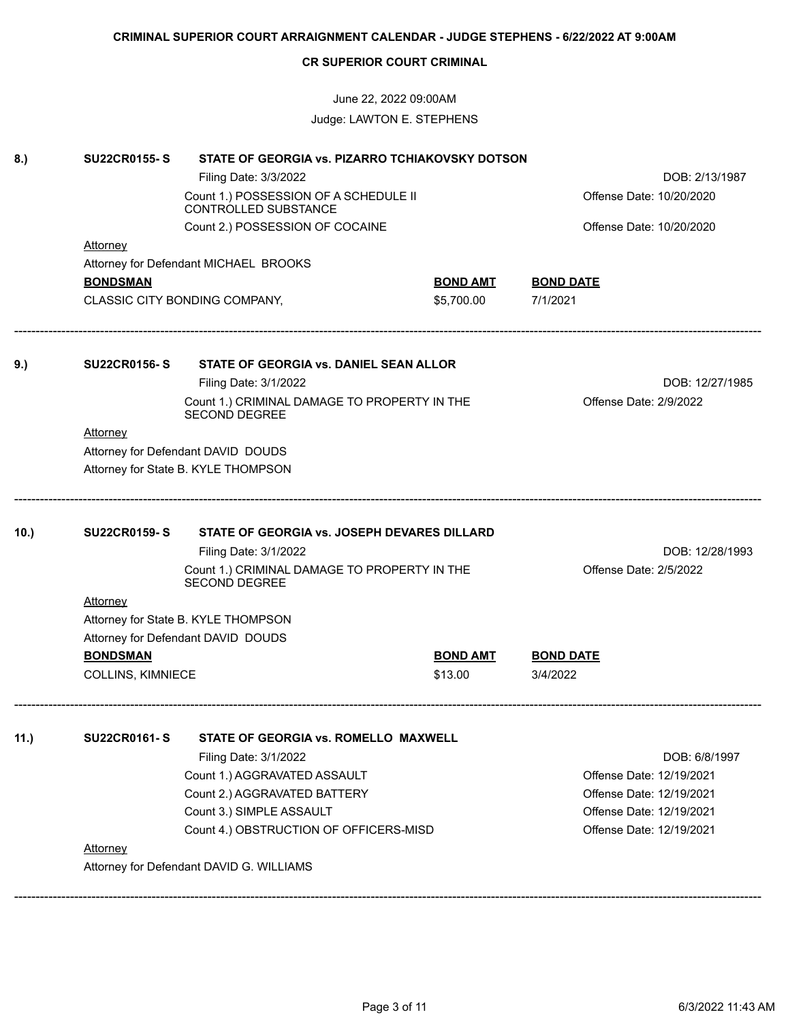|      | <b>CR SUPERIOR COURT CRIMINAL</b>    |                                                                      |                            |                                                      |  |  |
|------|--------------------------------------|----------------------------------------------------------------------|----------------------------|------------------------------------------------------|--|--|
|      |                                      | June 22, 2022 09:00AM                                                |                            |                                                      |  |  |
|      |                                      | Judge: LAWTON E. STEPHENS                                            |                            |                                                      |  |  |
| 8.)  | <b>SU22CR0155-S</b>                  | STATE OF GEORGIA vs. PIZARRO TCHIAKOVSKY DOTSON                      |                            |                                                      |  |  |
|      |                                      | Filing Date: 3/3/2022                                                |                            | DOB: 2/13/1987                                       |  |  |
|      |                                      | Count 1.) POSSESSION OF A SCHEDULE II<br>CONTROLLED SUBSTANCE        |                            | Offense Date: 10/20/2020                             |  |  |
|      |                                      | Count 2.) POSSESSION OF COCAINE                                      |                            | Offense Date: 10/20/2020                             |  |  |
|      | <b>Attorney</b>                      |                                                                      |                            |                                                      |  |  |
|      |                                      | Attorney for Defendant MICHAEL BROOKS                                |                            |                                                      |  |  |
|      | <b>BONDSMAN</b>                      |                                                                      | <b>BOND AMT</b>            | <b>BOND DATE</b>                                     |  |  |
|      |                                      | CLASSIC CITY BONDING COMPANY,                                        | \$5,700.00                 | 7/1/2021                                             |  |  |
| 9.)  | <b>SU22CR0156-S</b>                  | STATE OF GEORGIA vs. DANIEL SEAN ALLOR                               |                            |                                                      |  |  |
|      |                                      | Filing Date: 3/1/2022                                                |                            | DOB: 12/27/1985                                      |  |  |
|      |                                      | Count 1.) CRIMINAL DAMAGE TO PROPERTY IN THE<br><b>SECOND DEGREE</b> |                            | Offense Date: 2/9/2022                               |  |  |
|      | Attorney                             |                                                                      |                            |                                                      |  |  |
|      |                                      | Attorney for Defendant DAVID DOUDS                                   |                            |                                                      |  |  |
|      |                                      | Attorney for State B. KYLE THOMPSON                                  |                            |                                                      |  |  |
| 10.) | <b>SU22CR0159-S</b>                  | STATE OF GEORGIA vs. JOSEPH DEVARES DILLARD                          |                            |                                                      |  |  |
|      |                                      | Filing Date: 3/1/2022                                                |                            | DOB: 12/28/1993                                      |  |  |
|      |                                      | Count 1.) CRIMINAL DAMAGE TO PROPERTY IN THE<br><b>SECOND DEGREE</b> |                            | Offense Date: 2/5/2022                               |  |  |
|      | <b>Attorney</b>                      |                                                                      |                            |                                                      |  |  |
|      |                                      | Attorney for State B. KYLE THOMPSON                                  |                            |                                                      |  |  |
|      |                                      | Attorney for Defendant DAVID DOUDS                                   |                            |                                                      |  |  |
|      | <b>BONDSMAN</b><br>COLLINS, KIMNIECE |                                                                      | <b>BOND AMT</b><br>\$13.00 | <b>BOND DATE</b><br>3/4/2022                         |  |  |
|      |                                      |                                                                      |                            |                                                      |  |  |
| 11.) | <b>SU22CR0161-S</b>                  | <b>STATE OF GEORGIA vs. ROMELLO MAXWELL</b>                          |                            |                                                      |  |  |
|      |                                      | Filing Date: 3/1/2022                                                |                            | DOB: 6/8/1997<br>Offense Date: 12/19/2021            |  |  |
|      |                                      | Count 1.) AGGRAVATED ASSAULT<br>Count 2.) AGGRAVATED BATTERY         |                            |                                                      |  |  |
|      |                                      | Count 3.) SIMPLE ASSAULT                                             |                            | Offense Date: 12/19/2021<br>Offense Date: 12/19/2021 |  |  |
|      |                                      | Count 4.) OBSTRUCTION OF OFFICERS-MISD                               |                            | Offense Date: 12/19/2021                             |  |  |
|      |                                      |                                                                      |                            |                                                      |  |  |
|      | <b>Attorney</b>                      |                                                                      |                            |                                                      |  |  |
|      |                                      | Attorney for Defendant DAVID G. WILLIAMS                             |                            |                                                      |  |  |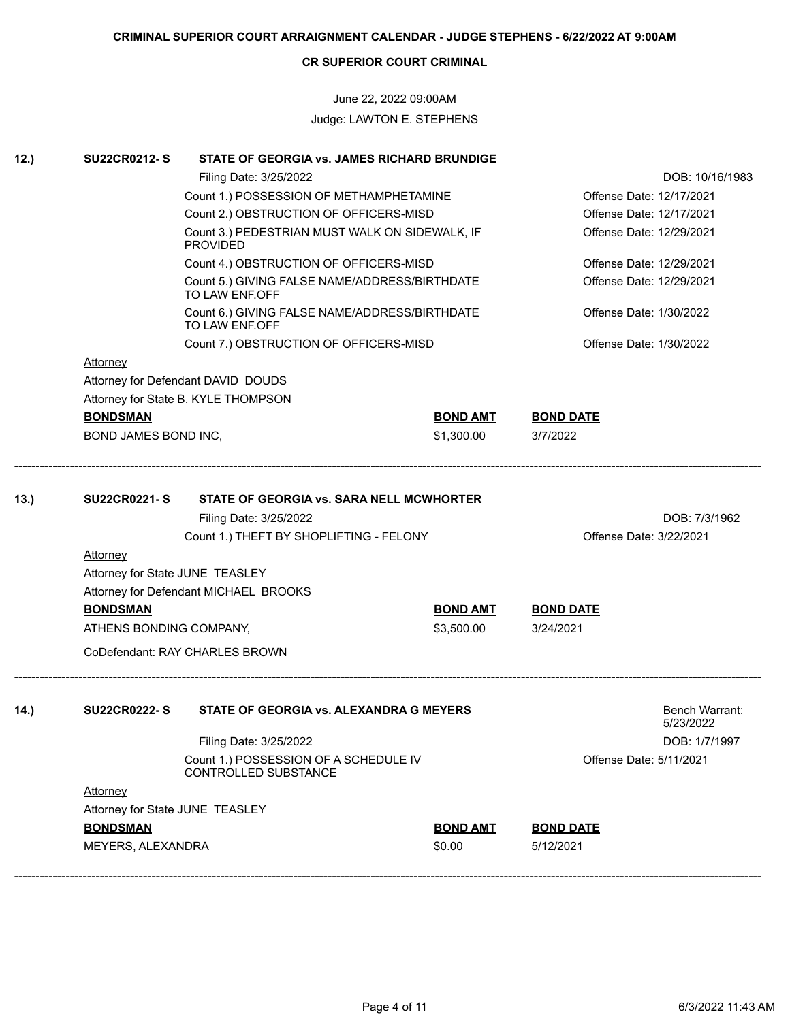## June 22, 2022 09:00AM Judge: LAWTON E. STEPHENS

| 12.) | <b>SU22CR0212-S</b>                                                                       | STATE OF GEORGIA vs. JAMES RICHARD BRUNDIGE                                                                                                  |                               |                                                          |                             |
|------|-------------------------------------------------------------------------------------------|----------------------------------------------------------------------------------------------------------------------------------------------|-------------------------------|----------------------------------------------------------|-----------------------------|
|      |                                                                                           | Filing Date: 3/25/2022                                                                                                                       |                               | DOB: 10/16/1983                                          |                             |
|      |                                                                                           | Count 1.) POSSESSION OF METHAMPHETAMINE                                                                                                      | Offense Date: 12/17/2021      |                                                          |                             |
|      |                                                                                           | Count 2.) OBSTRUCTION OF OFFICERS-MISD                                                                                                       |                               | Offense Date: 12/17/2021                                 |                             |
|      |                                                                                           | Count 3.) PEDESTRIAN MUST WALK ON SIDEWALK, IF<br><b>PROVIDED</b>                                                                            |                               | Offense Date: 12/29/2021                                 |                             |
|      |                                                                                           | Count 4.) OBSTRUCTION OF OFFICERS-MISD                                                                                                       |                               | Offense Date: 12/29/2021                                 |                             |
|      |                                                                                           | Count 5.) GIVING FALSE NAME/ADDRESS/BIRTHDATE<br>TO LAW ENF.OFF                                                                              |                               | Offense Date: 12/29/2021                                 |                             |
|      |                                                                                           | Count 6.) GIVING FALSE NAME/ADDRESS/BIRTHDATE<br>TO LAW ENF.OFF                                                                              |                               | Offense Date: 1/30/2022                                  |                             |
|      |                                                                                           | Count 7.) OBSTRUCTION OF OFFICERS-MISD                                                                                                       |                               | Offense Date: 1/30/2022                                  |                             |
|      | <b>Attorney</b>                                                                           |                                                                                                                                              |                               |                                                          |                             |
|      |                                                                                           | Attorney for Defendant DAVID DOUDS                                                                                                           |                               |                                                          |                             |
|      |                                                                                           | Attorney for State B. KYLE THOMPSON                                                                                                          |                               |                                                          |                             |
|      | <b>BONDSMAN</b>                                                                           |                                                                                                                                              | <b>BOND AMT</b>               | <b>BOND DATE</b>                                         |                             |
|      | BOND JAMES BOND INC,                                                                      |                                                                                                                                              | \$1,300.00                    | 3/7/2022                                                 |                             |
|      | Attorney<br>Attorney for State JUNE TEASLEY<br><b>BONDSMAN</b><br>ATHENS BONDING COMPANY, | Filing Date: 3/25/2022<br>Count 1.) THEFT BY SHOPLIFTING - FELONY<br>Attorney for Defendant MICHAEL BROOKS<br>CoDefendant: RAY CHARLES BROWN | <b>BOND AMT</b><br>\$3,500.00 | Offense Date: 3/22/2021<br><b>BOND DATE</b><br>3/24/2021 | DOB: 7/3/1962               |
| 14.) | <b>SU22CR0222-S</b>                                                                       | STATE OF GEORGIA vs. ALEXANDRA G MEYERS                                                                                                      |                               |                                                          | Bench Warrant:<br>5/23/2022 |
|      |                                                                                           | Filing Date: 3/25/2022                                                                                                                       |                               |                                                          | DOB: 1/7/1997               |
|      |                                                                                           | Count 1.) POSSESSION OF A SCHEDULE IV<br>CONTROLLED SUBSTANCE                                                                                |                               | Offense Date: 5/11/2021                                  |                             |
|      | <b>Attorney</b>                                                                           |                                                                                                                                              |                               |                                                          |                             |
|      | Attorney for State JUNE TEASLEY                                                           |                                                                                                                                              |                               |                                                          |                             |
|      | <b>BONDSMAN</b>                                                                           |                                                                                                                                              | <b>BOND AMT</b>               | <b>BOND DATE</b>                                         |                             |
|      | MEYERS, ALEXANDRA                                                                         |                                                                                                                                              | \$0.00                        | 5/12/2021                                                |                             |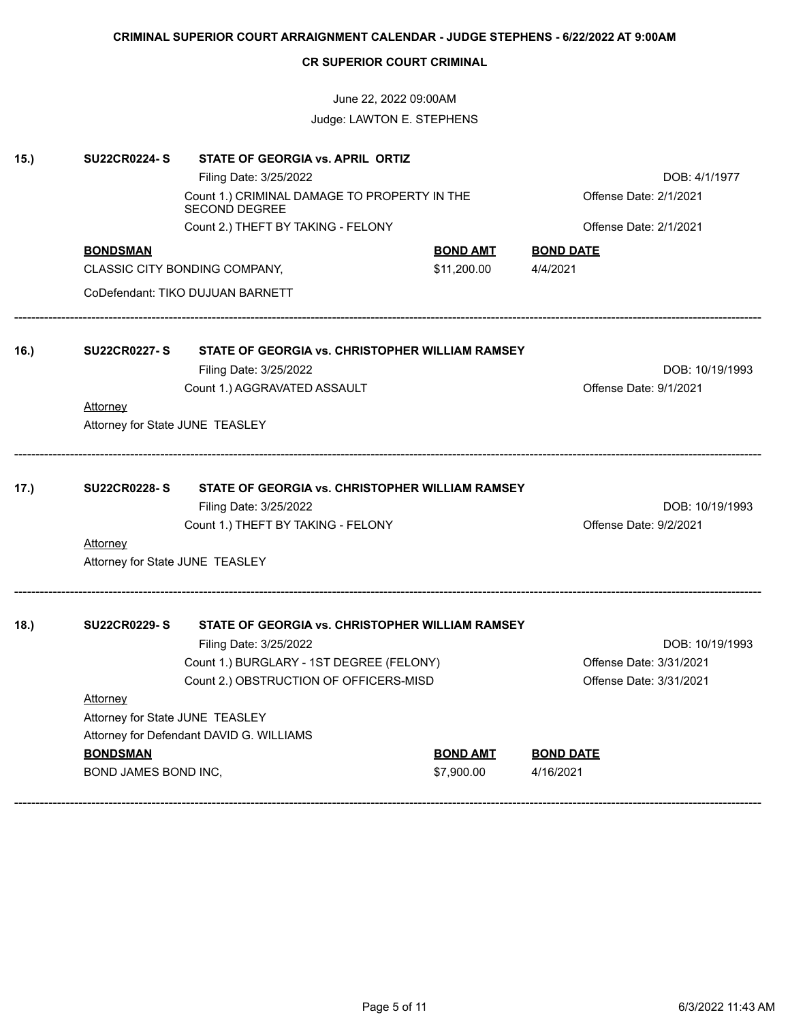# June 22, 2022 09:00AM Judge: LAWTON E. STEPHENS

| 15.) | <b>SU22CR0224-S</b>             | STATE OF GEORGIA vs. APRIL ORTIZ                                     |                 |                                                    |
|------|---------------------------------|----------------------------------------------------------------------|-----------------|----------------------------------------------------|
|      |                                 | Filing Date: 3/25/2022                                               |                 | DOB: 4/1/1977                                      |
|      |                                 | Count 1.) CRIMINAL DAMAGE TO PROPERTY IN THE<br><b>SECOND DEGREE</b> |                 | Offense Date: 2/1/2021                             |
|      |                                 | Count 2.) THEFT BY TAKING - FELONY                                   |                 | Offense Date: 2/1/2021                             |
|      | <b>BONDSMAN</b>                 |                                                                      | <u>BOND AMT</u> | <b>BOND DATE</b>                                   |
|      |                                 | CLASSIC CITY BONDING COMPANY,                                        | \$11,200.00     | 4/4/2021                                           |
|      |                                 | CoDefendant: TIKO DUJUAN BARNETT                                     |                 |                                                    |
| 16.) | <b>SU22CR0227-S</b>             | STATE OF GEORGIA vs. CHRISTOPHER WILLIAM RAMSEY                      |                 |                                                    |
|      |                                 | Filing Date: 3/25/2022                                               |                 | DOB: 10/19/1993                                    |
|      |                                 | Count 1.) AGGRAVATED ASSAULT                                         |                 | Offense Date: 9/1/2021                             |
|      | Attorney                        |                                                                      |                 |                                                    |
|      | Attorney for State JUNE TEASLEY |                                                                      |                 |                                                    |
| 17.) | <b>SU22CR0228-S</b>             | STATE OF GEORGIA vs. CHRISTOPHER WILLIAM RAMSEY                      |                 |                                                    |
|      |                                 | Filing Date: 3/25/2022                                               |                 | DOB: 10/19/1993                                    |
|      |                                 | Count 1.) THEFT BY TAKING - FELONY                                   |                 | Offense Date: 9/2/2021                             |
|      | Attorney                        |                                                                      |                 |                                                    |
|      | Attorney for State JUNE TEASLEY |                                                                      |                 |                                                    |
| 18.) | <b>SU22CR0229-S</b>             | STATE OF GEORGIA vs. CHRISTOPHER WILLIAM RAMSEY                      |                 |                                                    |
|      |                                 | Filing Date: 3/25/2022                                               |                 | DOB: 10/19/1993                                    |
|      |                                 | Count 1.) BURGLARY - 1ST DEGREE (FELONY)                             |                 | Offense Date: 3/31/2021<br>Offense Date: 3/31/2021 |
|      | Attorney                        | Count 2.) OBSTRUCTION OF OFFICERS-MISD                               |                 |                                                    |
|      | Attorney for State JUNE TEASLEY |                                                                      |                 |                                                    |
|      |                                 | Attorney for Defendant DAVID G. WILLIAMS                             |                 |                                                    |
|      | <b>BONDSMAN</b>                 |                                                                      | <u>BOND AMT</u> | <b>BOND DATE</b>                                   |
|      | BOND JAMES BOND INC,            |                                                                      | \$7,900.00      | 4/16/2021                                          |
|      |                                 |                                                                      |                 |                                                    |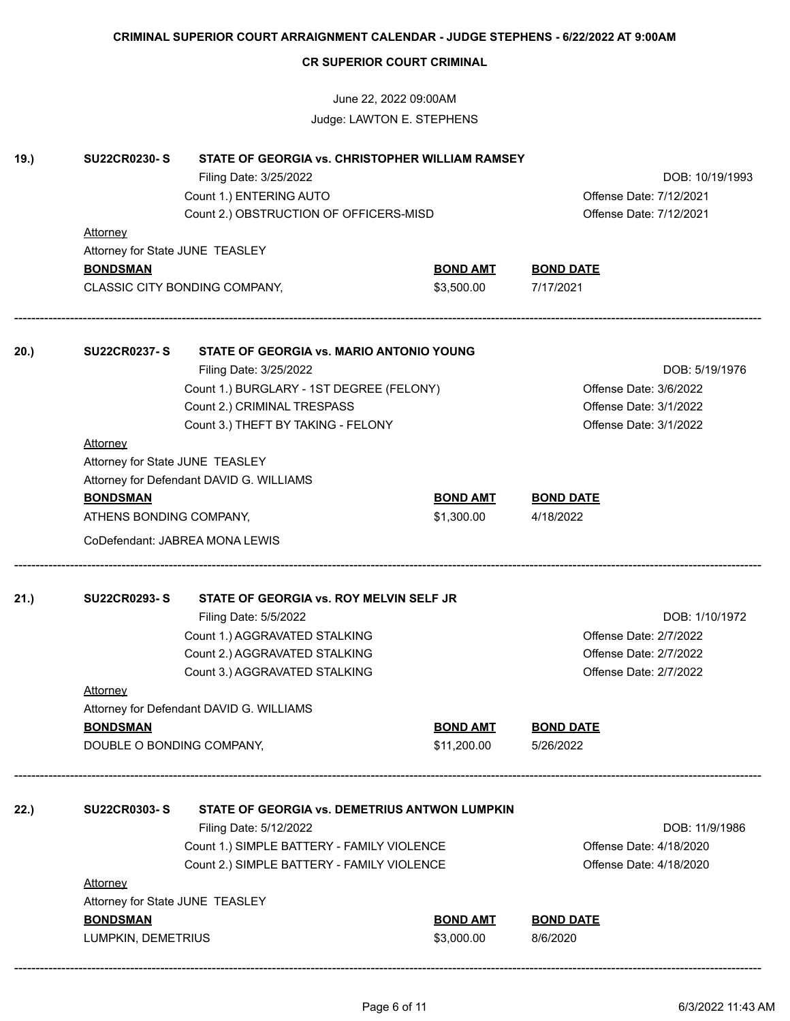|      | <b>CR SUPERIOR COURT CRIMINAL</b>                                    |                                                       |                               |                              |  |  |
|------|----------------------------------------------------------------------|-------------------------------------------------------|-------------------------------|------------------------------|--|--|
|      |                                                                      | June 22, 2022 09:00AM                                 |                               |                              |  |  |
|      |                                                                      | Judge: LAWTON E. STEPHENS                             |                               |                              |  |  |
| 19.) | <b>SU22CR0230-S</b>                                                  | STATE OF GEORGIA vs. CHRISTOPHER WILLIAM RAMSEY       |                               |                              |  |  |
|      |                                                                      | Filing Date: 3/25/2022                                |                               | DOB: 10/19/1993              |  |  |
|      |                                                                      | Count 1.) ENTERING AUTO                               |                               | Offense Date: 7/12/2021      |  |  |
|      |                                                                      | Count 2.) OBSTRUCTION OF OFFICERS-MISD                |                               | Offense Date: 7/12/2021      |  |  |
|      | <b>Attorney</b>                                                      |                                                       |                               |                              |  |  |
|      | Attorney for State JUNE TEASLEY                                      |                                                       |                               |                              |  |  |
|      | <b>BONDSMAN</b>                                                      |                                                       | <b>BOND AMT</b>               | <b>BOND DATE</b>             |  |  |
|      |                                                                      | CLASSIC CITY BONDING COMPANY,                         | \$3,500.00                    | 7/17/2021                    |  |  |
| 20.) |                                                                      | SU22CR0237-S STATE OF GEORGIA vs. MARIO ANTONIO YOUNG |                               |                              |  |  |
|      |                                                                      | Filing Date: 3/25/2022                                |                               | DOB: 5/19/1976               |  |  |
|      | Count 1.) BURGLARY - 1ST DEGREE (FELONY)                             |                                                       |                               | Offense Date: 3/6/2022       |  |  |
|      |                                                                      | Count 2.) CRIMINAL TRESPASS                           |                               | Offense Date: 3/1/2022       |  |  |
|      |                                                                      | Count 3.) THEFT BY TAKING - FELONY                    |                               | Offense Date: 3/1/2022       |  |  |
|      | <b>Attorney</b>                                                      |                                                       |                               |                              |  |  |
|      |                                                                      |                                                       |                               |                              |  |  |
|      | Attorney for State JUNE TEASLEY                                      |                                                       |                               |                              |  |  |
|      | Attorney for Defendant DAVID G. WILLIAMS                             |                                                       |                               |                              |  |  |
|      | <b>BONDSMAN</b>                                                      |                                                       | <b>BOND AMT</b>               | <b>BOND DATE</b>             |  |  |
|      | ATHENS BONDING COMPANY,                                              |                                                       | \$1,300.00                    | 4/18/2022                    |  |  |
|      |                                                                      | CoDefendant: JABREA MONA LEWIS                        |                               |                              |  |  |
| 21.) | <b>SU22CR0293-S</b>                                                  | STATE OF GEORGIA vs. ROY MELVIN SELF JR               |                               |                              |  |  |
|      |                                                                      | Filing Date: 5/5/2022                                 |                               | DOB: 1/10/1972               |  |  |
|      |                                                                      | Count 1.) AGGRAVATED STALKING                         |                               | Offense Date: 2/7/2022       |  |  |
|      |                                                                      | Count 2.) AGGRAVATED STALKING                         |                               | Offense Date: 2/7/2022       |  |  |
|      |                                                                      | Count 3.) AGGRAVATED STALKING                         |                               | Offense Date: 2/7/2022       |  |  |
|      | <b>Attorney</b>                                                      |                                                       |                               |                              |  |  |
|      |                                                                      | Attorney for Defendant DAVID G. WILLIAMS              |                               |                              |  |  |
|      |                                                                      |                                                       |                               | <b>BOND DATE</b>             |  |  |
|      | <b>BONDSMAN</b>                                                      |                                                       | <b>BOND AMT</b>               |                              |  |  |
|      | DOUBLE O BONDING COMPANY,                                            |                                                       | \$11,200.00                   | 5/26/2022                    |  |  |
| 22.) | <b>SU22CR0303-S</b><br>STATE OF GEORGIA vs. DEMETRIUS ANTWON LUMPKIN |                                                       |                               |                              |  |  |
|      |                                                                      | Filing Date: 5/12/2022                                |                               | DOB: 11/9/1986               |  |  |
|      |                                                                      | Count 1.) SIMPLE BATTERY - FAMILY VIOLENCE            |                               | Offense Date: 4/18/2020      |  |  |
|      |                                                                      | Count 2.) SIMPLE BATTERY - FAMILY VIOLENCE            |                               | Offense Date: 4/18/2020      |  |  |
|      | Attorney                                                             |                                                       |                               |                              |  |  |
|      |                                                                      |                                                       |                               |                              |  |  |
|      | Attorney for State JUNE TEASLEY                                      |                                                       |                               |                              |  |  |
|      |                                                                      |                                                       |                               |                              |  |  |
|      | <b>BONDSMAN</b><br>LUMPKIN, DEMETRIUS                                |                                                       | <b>BOND AMT</b><br>\$3,000.00 | <b>BOND DATE</b><br>8/6/2020 |  |  |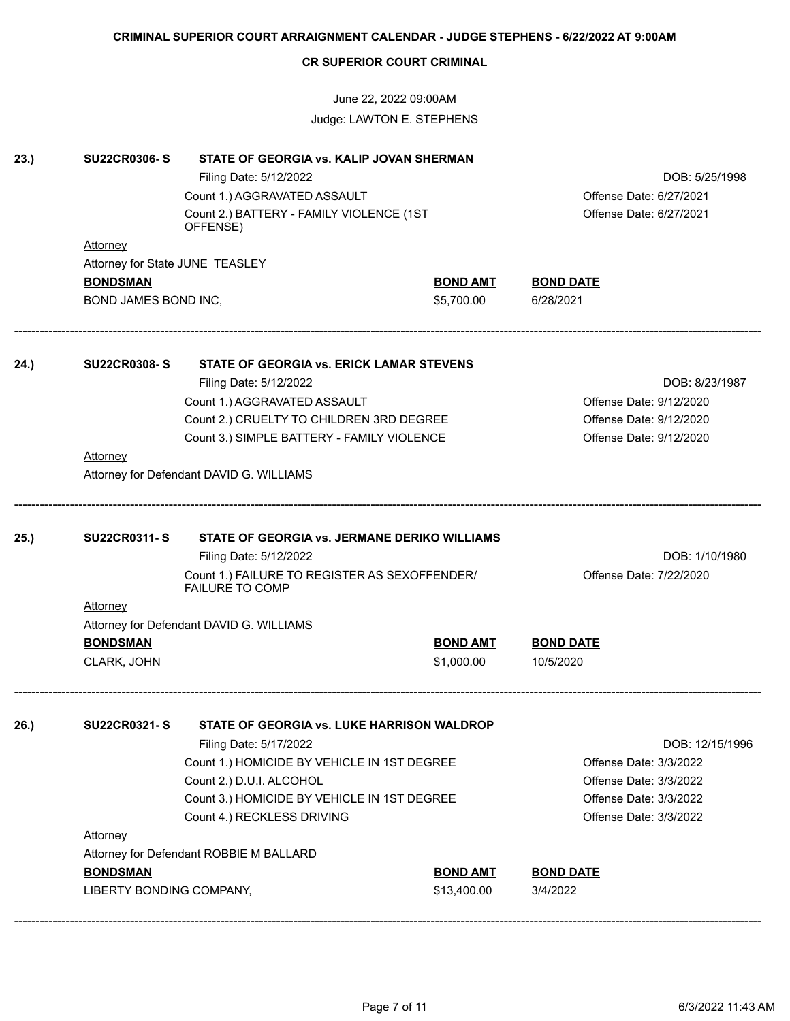|      |                                          |                                                                                                    | June 22, 2022 09:00AM<br>Judge: LAWTON E. STEPHENS |                                                    |                 |
|------|------------------------------------------|----------------------------------------------------------------------------------------------------|----------------------------------------------------|----------------------------------------------------|-----------------|
| 23.) | <b>SU22CR0306-S</b>                      | STATE OF GEORGIA vs. KALIP JOVAN SHERMAN<br>Filing Date: 5/12/2022<br>Count 1.) AGGRAVATED ASSAULT |                                                    | Offense Date: 6/27/2021<br>Offense Date: 6/27/2021 | DOB: 5/25/1998  |
|      |                                          | Count 2.) BATTERY - FAMILY VIOLENCE (1ST<br>OFFENSE)                                               |                                                    |                                                    |                 |
|      | <b>Attorney</b>                          |                                                                                                    |                                                    |                                                    |                 |
|      | Attorney for State JUNE TEASLEY          |                                                                                                    |                                                    |                                                    |                 |
|      | <b>BONDSMAN</b>                          |                                                                                                    | <b>BOND AMT</b>                                    | <b>BOND DATE</b>                                   |                 |
|      | BOND JAMES BOND INC,                     |                                                                                                    | \$5,700.00                                         | 6/28/2021                                          |                 |
| 24.) | <b>SU22CR0308-S</b>                      | STATE OF GEORGIA vs. ERICK LAMAR STEVENS                                                           |                                                    |                                                    |                 |
|      | Filing Date: 5/12/2022                   |                                                                                                    |                                                    |                                                    | DOB: 8/23/1987  |
|      |                                          | Count 1.) AGGRAVATED ASSAULT                                                                       | Offense Date: 9/12/2020                            |                                                    |                 |
|      |                                          | Count 2.) CRUELTY TO CHILDREN 3RD DEGREE                                                           |                                                    | Offense Date: 9/12/2020                            |                 |
|      |                                          | Count 3.) SIMPLE BATTERY - FAMILY VIOLENCE                                                         |                                                    | Offense Date: 9/12/2020                            |                 |
|      | <b>Attorney</b>                          |                                                                                                    |                                                    |                                                    |                 |
|      | Attorney for Defendant DAVID G. WILLIAMS |                                                                                                    |                                                    |                                                    |                 |
|      |                                          |                                                                                                    |                                                    |                                                    |                 |
| 25.) | <b>SU22CR0311-S</b>                      | STATE OF GEORGIA vs. JERMANE DERIKO WILLIAMS<br>Filing Date: 5/12/2022                             |                                                    | DOB: 1/10/1980                                     |                 |
|      |                                          | Count 1.) FAILURE TO REGISTER AS SEXOFFENDER/<br><b>FAILURE TO COMP</b>                            |                                                    | Offense Date: 7/22/2020                            |                 |
|      | <b>Attorney</b>                          |                                                                                                    |                                                    |                                                    |                 |
|      |                                          | Attorney for Defendant DAVID G. WILLIAMS                                                           |                                                    |                                                    |                 |
|      | <b>BONDSMAN</b>                          |                                                                                                    | <b>BOND AMT</b>                                    | <b>BOND DATE</b>                                   |                 |
|      | CLARK, JOHN                              |                                                                                                    | \$1,000.00                                         | 10/5/2020                                          |                 |
| 26.) | <b>SU22CR0321-S</b>                      | STATE OF GEORGIA vs. LUKE HARRISON WALDROP                                                         |                                                    |                                                    |                 |
|      |                                          | Filing Date: 5/17/2022                                                                             |                                                    |                                                    | DOB: 12/15/1996 |
|      |                                          | Count 1.) HOMICIDE BY VEHICLE IN 1ST DEGREE                                                        |                                                    | Offense Date: 3/3/2022                             |                 |
|      |                                          | Count 2.) D.U.I. ALCOHOL                                                                           |                                                    | Offense Date: 3/3/2022                             |                 |
|      |                                          | Count 3.) HOMICIDE BY VEHICLE IN 1ST DEGREE                                                        |                                                    | Offense Date: 3/3/2022                             |                 |
|      |                                          | Count 4.) RECKLESS DRIVING                                                                         |                                                    | Offense Date: 3/3/2022                             |                 |
|      | <b>Attorney</b>                          |                                                                                                    |                                                    |                                                    |                 |
|      |                                          | Attorney for Defendant ROBBIE M BALLARD                                                            |                                                    |                                                    |                 |
|      | <b>BONDSMAN</b>                          |                                                                                                    | <b>BOND AMT</b>                                    | <b>BOND DATE</b>                                   |                 |
|      | LIBERTY BONDING COMPANY,                 |                                                                                                    | \$13,400.00                                        | 3/4/2022                                           |                 |
|      |                                          |                                                                                                    |                                                    |                                                    |                 |

**CR SUPERIOR COURT CRIMINAL**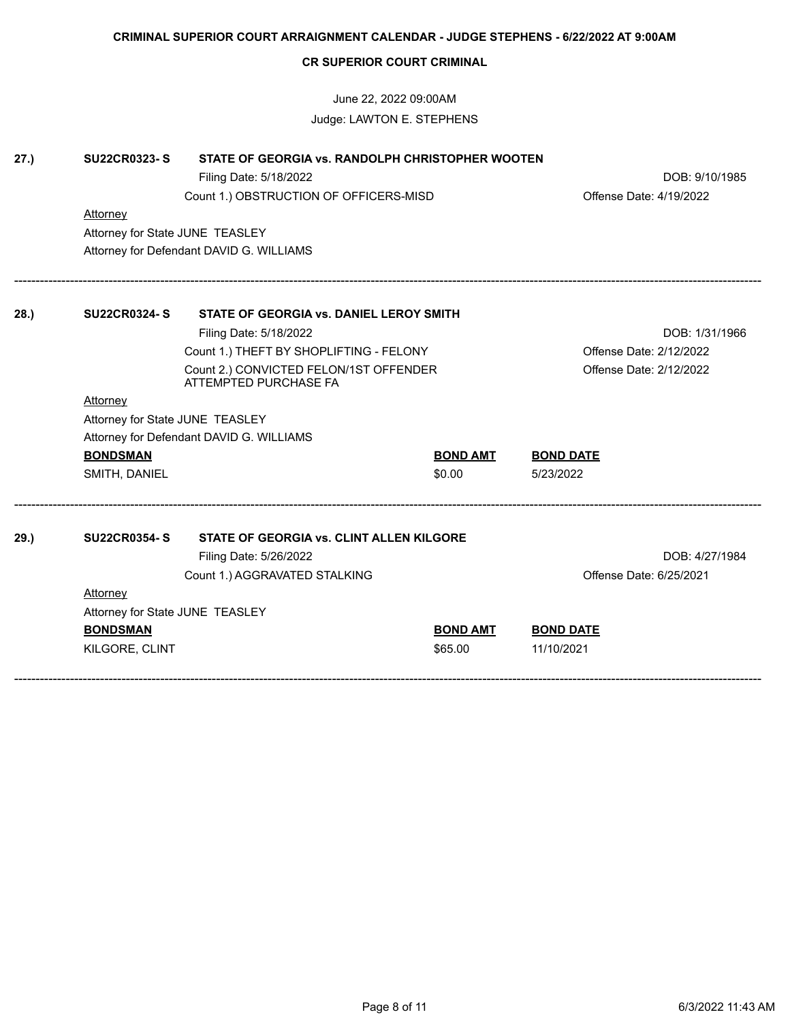|      |                                 | June 22, 2022 09:00AM                                           |                 |                         |  |
|------|---------------------------------|-----------------------------------------------------------------|-----------------|-------------------------|--|
|      |                                 | Judge: LAWTON E. STEPHENS                                       |                 |                         |  |
| 27.) | <b>SU22CR0323-S</b>             | STATE OF GEORGIA vs. RANDOLPH CHRISTOPHER WOOTEN                |                 |                         |  |
|      |                                 | Filing Date: 5/18/2022                                          |                 | DOB: 9/10/1985          |  |
|      |                                 | Count 1.) OBSTRUCTION OF OFFICERS-MISD                          |                 | Offense Date: 4/19/2022 |  |
|      | Attorney                        |                                                                 |                 |                         |  |
|      | Attorney for State JUNE TEASLEY |                                                                 |                 |                         |  |
|      |                                 | Attorney for Defendant DAVID G. WILLIAMS                        |                 |                         |  |
| 28.  | <b>SU22CR0324-S</b>             | STATE OF GEORGIA vs. DANIEL LEROY SMITH                         |                 |                         |  |
|      |                                 | Filing Date: 5/18/2022                                          |                 | DOB: 1/31/1966          |  |
|      |                                 | Count 1.) THEFT BY SHOPLIFTING - FELONY                         |                 | Offense Date: 2/12/2022 |  |
|      |                                 | Count 2.) CONVICTED FELON/1ST OFFENDER<br>ATTEMPTED PURCHASE FA |                 | Offense Date: 2/12/2022 |  |
|      | Attorney                        |                                                                 |                 |                         |  |
|      | Attorney for State JUNE TEASLEY |                                                                 |                 |                         |  |
|      |                                 | Attorney for Defendant DAVID G. WILLIAMS                        |                 |                         |  |
|      | <b>BONDSMAN</b>                 |                                                                 | <b>BOND AMT</b> | <b>BOND DATE</b>        |  |
|      | SMITH, DANIEL                   |                                                                 | \$0.00          | 5/23/2022               |  |
| 29.  | <b>SU22CR0354- S</b>            | STATE OF GEORGIA vs. CLINT ALLEN KILGORE                        |                 |                         |  |
|      |                                 | Filing Date: 5/26/2022                                          |                 | DOB: 4/27/1984          |  |
|      |                                 | Count 1.) AGGRAVATED STALKING                                   |                 | Offense Date: 6/25/2021 |  |
|      | <b>Attorney</b>                 |                                                                 |                 |                         |  |
|      | Attorney for State JUNE TEASLEY |                                                                 |                 |                         |  |
|      | <b>BONDSMAN</b>                 |                                                                 | <b>BOND AMT</b> | <b>BOND DATE</b>        |  |
|      | KILGORE, CLINT                  |                                                                 | \$65.00         | 11/10/2021              |  |

**CR SUPERIOR COURT CRIMINAL**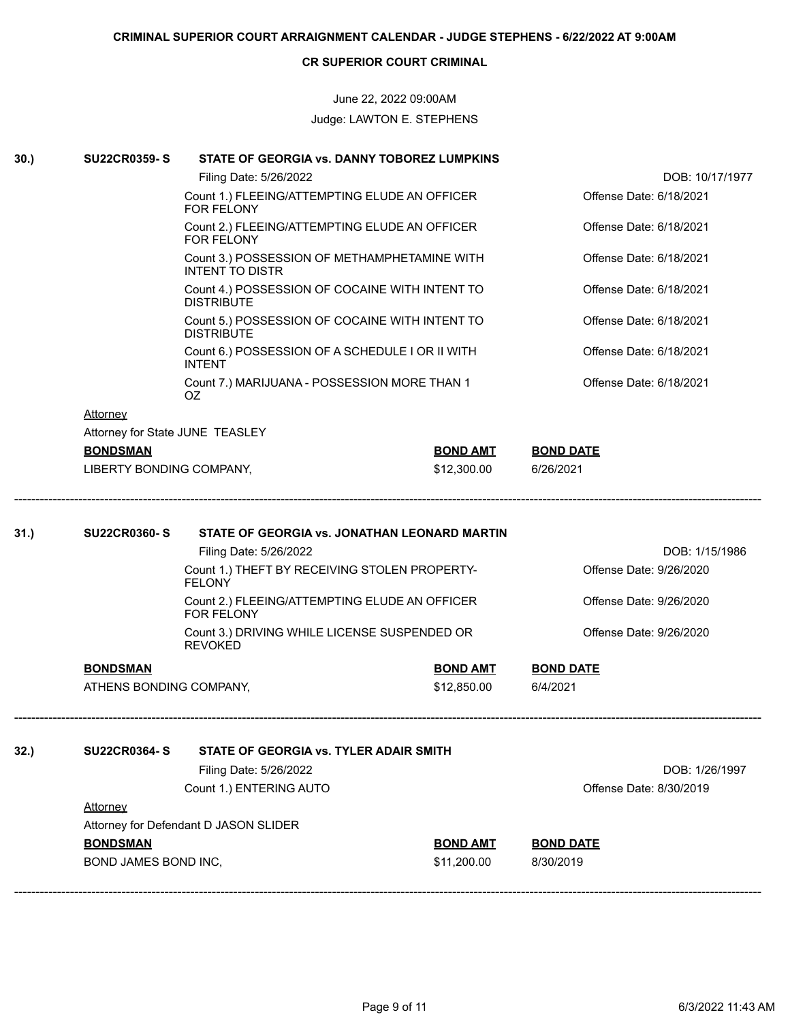June 22, 2022 09:00AM Judge: LAWTON E. STEPHENS

| 30.) | <b>SU22CR0359-S</b>             | STATE OF GEORGIA vs. DANNY TOBOREZ LUMPKINS                                                                                                                                                                    |                 |                                                                      |
|------|---------------------------------|----------------------------------------------------------------------------------------------------------------------------------------------------------------------------------------------------------------|-----------------|----------------------------------------------------------------------|
|      |                                 | Filing Date: 5/26/2022                                                                                                                                                                                         |                 | DOB: 10/17/1977                                                      |
|      |                                 | Count 1.) FLEEING/ATTEMPTING ELUDE AN OFFICER<br><b>FOR FELONY</b>                                                                                                                                             |                 | Offense Date: 6/18/2021                                              |
|      |                                 | Count 2.) FLEEING/ATTEMPTING ELUDE AN OFFICER<br><b>FOR FELONY</b>                                                                                                                                             |                 | Offense Date: 6/18/2021                                              |
|      |                                 | Count 3.) POSSESSION OF METHAMPHETAMINE WITH<br><b>INTENT TO DISTR</b>                                                                                                                                         |                 | Offense Date: 6/18/2021                                              |
|      |                                 | Count 4.) POSSESSION OF COCAINE WITH INTENT TO<br><b>DISTRIBUTE</b>                                                                                                                                            |                 | Offense Date: 6/18/2021                                              |
|      |                                 | Count 5.) POSSESSION OF COCAINE WITH INTENT TO<br><b>DISTRIBUTE</b>                                                                                                                                            |                 | Offense Date: 6/18/2021                                              |
|      |                                 | Count 6.) POSSESSION OF A SCHEDULE I OR II WITH<br><b>INTENT</b>                                                                                                                                               |                 | Offense Date: 6/18/2021                                              |
|      |                                 | Count 7.) MARIJUANA - POSSESSION MORE THAN 1<br>OZ                                                                                                                                                             |                 | Offense Date: 6/18/2021                                              |
|      | <b>Attorney</b>                 |                                                                                                                                                                                                                |                 |                                                                      |
|      | Attorney for State JUNE TEASLEY |                                                                                                                                                                                                                |                 |                                                                      |
|      | <b>BONDSMAN</b>                 |                                                                                                                                                                                                                | <b>BOND AMT</b> | <b>BOND DATE</b>                                                     |
|      | LIBERTY BONDING COMPANY,        |                                                                                                                                                                                                                | \$12,300.00     | 6/26/2021                                                            |
| 31.) | <b>SU22CR0360-S</b>             | STATE OF GEORGIA vs. JONATHAN LEONARD MARTIN<br>Filing Date: 5/26/2022<br>Count 1.) THEFT BY RECEIVING STOLEN PROPERTY-<br><b>FELONY</b><br>Count 2.) FLEEING/ATTEMPTING ELUDE AN OFFICER<br><b>FOR FELONY</b> |                 | DOB: 1/15/1986<br>Offense Date: 9/26/2020<br>Offense Date: 9/26/2020 |
|      |                                 | Count 3.) DRIVING WHILE LICENSE SUSPENDED OR<br><b>REVOKED</b>                                                                                                                                                 |                 | Offense Date: 9/26/2020                                              |
|      | <b>BONDSMAN</b>                 |                                                                                                                                                                                                                | <b>BOND AMT</b> | <b>BOND DATE</b>                                                     |
|      | ATHENS BONDING COMPANY,         |                                                                                                                                                                                                                | \$12,850.00     | 6/4/2021                                                             |
| 32.) | <b>SU22CR0364-S</b>             | STATE OF GEORGIA vs. TYLER ADAIR SMITH                                                                                                                                                                         |                 |                                                                      |
|      |                                 | Filing Date: 5/26/2022                                                                                                                                                                                         |                 | DOB: 1/26/1997                                                       |
|      |                                 | Count 1.) ENTERING AUTO                                                                                                                                                                                        |                 | Offense Date: 8/30/2019                                              |
|      | <b>Attorney</b>                 |                                                                                                                                                                                                                |                 |                                                                      |
|      |                                 | Attorney for Defendant D JASON SLIDER                                                                                                                                                                          |                 |                                                                      |
|      | <b>BONDSMAN</b>                 |                                                                                                                                                                                                                | <b>BOND AMT</b> | <b>BOND DATE</b>                                                     |
|      | BOND JAMES BOND INC,            |                                                                                                                                                                                                                | \$11,200.00     | 8/30/2019                                                            |
|      |                                 |                                                                                                                                                                                                                |                 |                                                                      |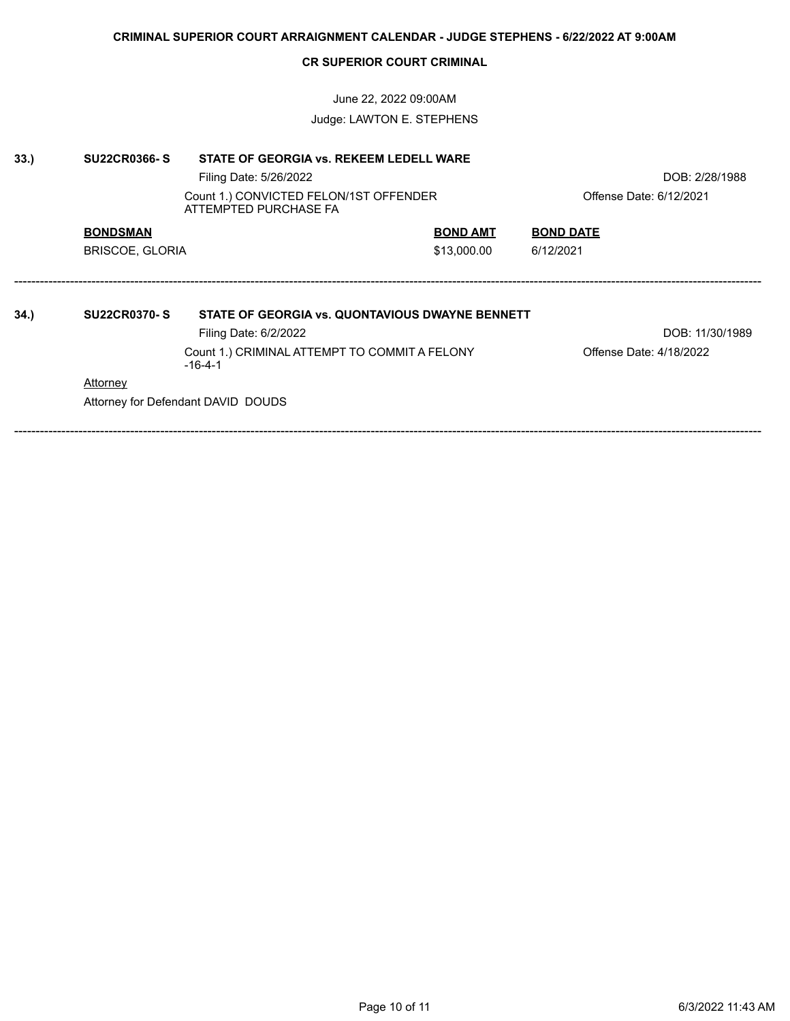June 22, 2022 09:00AM Judge: LAWTON E. STEPHENS

| 33.) | <b>SU22CR0366-S</b>             | STATE OF GEORGIA vs. REKEEM LEDELL WARE                                                                                                                                      |                 |                                            |  |
|------|---------------------------------|------------------------------------------------------------------------------------------------------------------------------------------------------------------------------|-----------------|--------------------------------------------|--|
|      |                                 | Filing Date: 5/26/2022                                                                                                                                                       |                 | DOB: 2/28/1988                             |  |
|      |                                 | Count 1.) CONVICTED FELON/1ST OFFENDER<br>ATTEMPTED PURCHASE FA                                                                                                              |                 | Offense Date: 6/12/2021                    |  |
|      | <b>BONDSMAN</b>                 |                                                                                                                                                                              | <b>BOND AMT</b> | <b>BOND DATE</b>                           |  |
|      | <b>BRISCOE, GLORIA</b>          |                                                                                                                                                                              | \$13,000.00     | 6/12/2021                                  |  |
| 34.) | <b>SU22CR0370-S</b><br>Attorney | STATE OF GEORGIA vs. QUONTAVIOUS DWAYNE BENNETT<br>Filing Date: 6/2/2022<br>Count 1.) CRIMINAL ATTEMPT TO COMMIT A FELONY<br>$-16-4-1$<br>Attorney for Defendant DAVID DOUDS |                 | DOB: 11/30/1989<br>Offense Date: 4/18/2022 |  |
|      |                                 |                                                                                                                                                                              |                 |                                            |  |